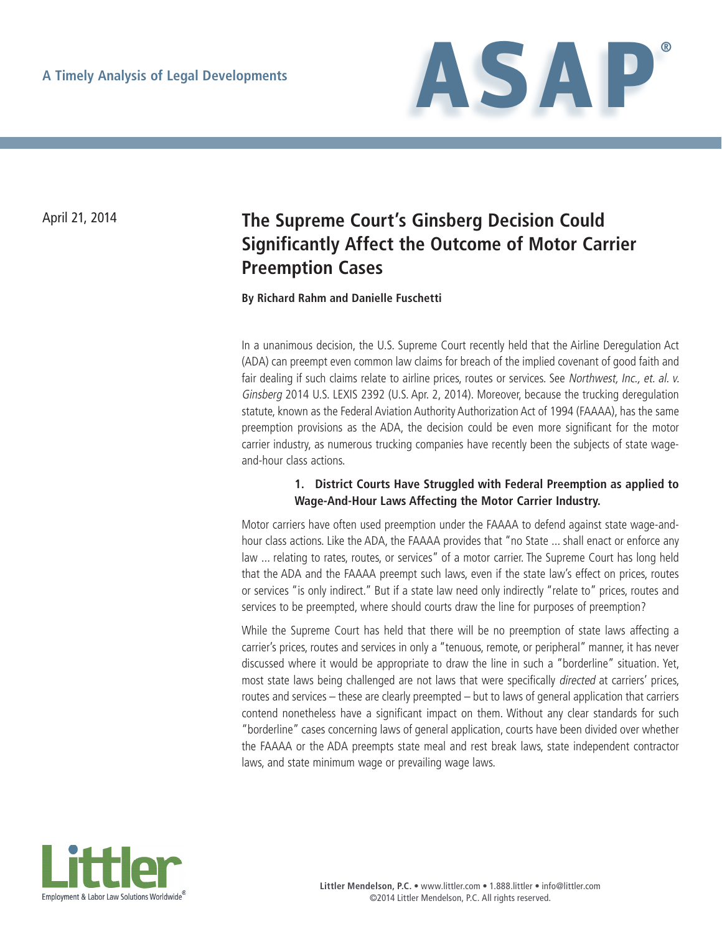

# April 21, 2014 **The Supreme Court's Ginsberg Decision Could Significantly Affect the Outcome of Motor Carrier Preemption Cases**

### **By Richard Rahm and Danielle Fuschetti**

In a unanimous decision, the U.S. Supreme Court recently held that the Airline Deregulation Act (ADA) can preempt even common law claims for breach of the implied covenant of good faith and fair dealing if such claims relate to airline prices, routes or services. See Northwest, Inc., et. al. v. Ginsberg 2014 U.S. LEXIS 2392 (U.S. Apr. 2, 2014). Moreover, because the trucking deregulation statute, known as the Federal Aviation Authority Authorization Act of 1994 (FAAAA), has the same preemption provisions as the ADA, the decision could be even more significant for the motor carrier industry, as numerous trucking companies have recently been the subjects of state wageand-hour class actions.

## **1. District Courts Have Struggled with Federal Preemption as applied to Wage-And-Hour Laws Affecting the Motor Carrier Industry.**

Motor carriers have often used preemption under the FAAAA to defend against state wage-andhour class actions. Like the ADA, the FAAAA provides that "no State ... shall enact or enforce any law ... relating to rates, routes, or services" of a motor carrier. The Supreme Court has long held that the ADA and the FAAAA preempt such laws, even if the state law's effect on prices, routes or services "is only indirect." But if a state law need only indirectly "relate to" prices, routes and services to be preempted, where should courts draw the line for purposes of preemption?

While the Supreme Court has held that there will be no preemption of state laws affecting a carrier's prices, routes and services in only a "tenuous, remote, or peripheral" manner, it has never discussed where it would be appropriate to draw the line in such a "borderline" situation. Yet, most state laws being challenged are not laws that were specifically directed at carriers' prices, routes and services – these are clearly preempted – but to laws of general application that carriers contend nonetheless have a significant impact on them. Without any clear standards for such "borderline" cases concerning laws of general application, courts have been divided over whether the FAAAA or the ADA preempts state meal and rest break laws, state independent contractor laws, and state minimum wage or prevailing wage laws.